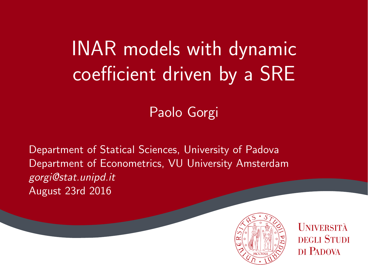# INAR models with dynamic coefficient driven by a SRE

#### Paolo Gorgi

Department of Statical Sciences, University of Padova Department of Econometrics, VU University Amsterdam gorgi@stat.unipd.it August 23rd 2016



**UNIVERSITÀ DEGLI STUDI** DI PADOVA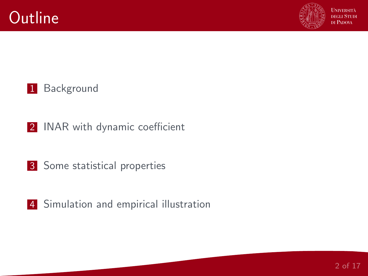

#### [Background](#page-2-0)

- [INAR with dynamic coefficient](#page-2-0)
- [Some statistical properties](#page-2-0)
- [Simulation and empirical illustration](#page-2-0)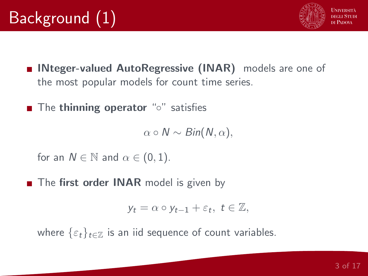

- <span id="page-2-0"></span>■ INteger-valued AutoRegressive (INAR) models are one of the most popular models for count time series.
- The thinning operator "o" satisfies

 $\alpha \circ N \sim Bin(N, \alpha),$ 

for an  $N \in \mathbb{N}$  and  $\alpha \in (0,1)$ .

The first order INAR model is given by

$$
y_t = \alpha \circ y_{t-1} + \varepsilon_t, \ t \in \mathbb{Z},
$$

where  $\{\varepsilon_t\}_{t\in\mathbb{Z}}$  is an iid sequence of count variables.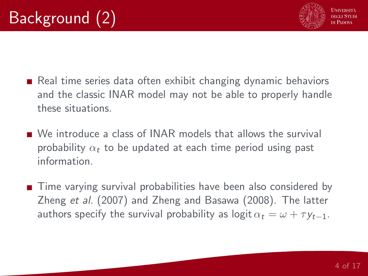

- Real time series data often exhibit changing dynamic behaviors and the classic INAR model may not be able to properly handle these situations.
- We introduce a class of INAR models that allows the survival probability  $\alpha_t$  to be updated at each time period using past information.
- Time varying survival probabilities have been also considered by Zheng et al. (2007) and Zheng and Basawa (2008). The latter authors specify the survival probability as logit  $\alpha_t = \omega + \tau v_{t-1}$ .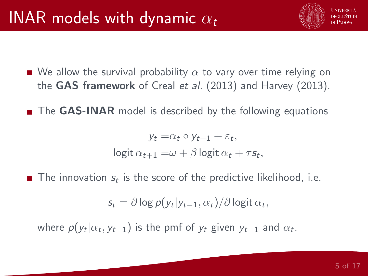

■ The GAS-INAR model is described by the following equations

 $y_t = \alpha_t \circ y_{t-1} + \varepsilon_t,$ logit  $\alpha_{t+1} = \omega + \beta$  logit  $\alpha_t + \tau s_t$ ,

The innovation  $s_t$  is the score of the predictive likelihood, i.e.

 $s_t = \partial \log p(y_t|y_{t-1}, \alpha_t) / \partial \log \mathfrak{i} \mathfrak{t} \, \alpha_t,$ 

where  $p(y_t|\alpha_t,y_{t-1})$  is the pmf of  $y_t$  given  $y_{t-1}$  and  $\alpha_t.$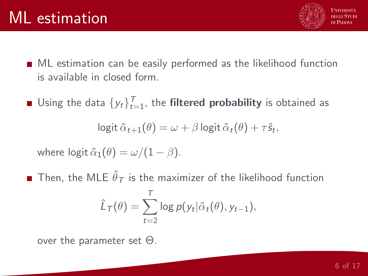

- ML estimation can be easily performed as the likelihood function is available in closed form.
- Using the data  $\{y_t\}_{t=1}^T$ , the **filtered probability** is obtained as

logit  $\hat{\alpha}_{t+1}(\theta) = \omega + \beta \log \hat{\alpha}_t(\theta) + \tau \hat{s}_t$ 

where  $logit \hat{\alpha}_1(\theta) = \omega/(1-\beta)$ .

Then, the MLE  $\hat{\theta}_{\mathcal{T}}$  is the maximizer of the likelihood function

$$
\hat{L}_T(\theta) = \sum_{t=2}^T \log p(y_t | \hat{\alpha}_t(\theta), y_{t-1}),
$$

over the parameter set Θ.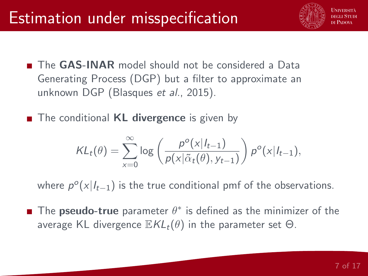

- **The GAS-INAR** model should not be considered a Data Generating Process (DGP) but a filter to approximate an unknown DGP (Blasques et al., 2015).
- The conditional **KL divergence** is given by

$$
KL_t(\theta) = \sum_{x=0}^{\infty} \log \left( \frac{p^o(x|I_{t-1})}{p(x|\tilde{\alpha}_t(\theta), y_{t-1})} \right) p^o(x|I_{t-1}),
$$

where  $p^o(x|I_{t-1})$  is the true conditional pmf of the observations.

The **pseudo-true** parameter  $\theta^*$  is defined as the minimizer of the average KL divergence  $\mathbb{E}KL_t(\theta)$  in the parameter set  $\Theta$ .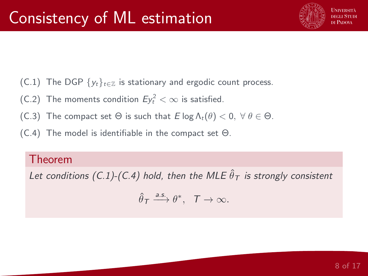

- (C.1) The DGP  $\{y_t\}_{t\in\mathbb{Z}}$  is stationary and ergodic count process.
- (C.2) The moments condition  $E y_t^2 < \infty$  is satisfied.
- (C.3) The compact set  $\Theta$  is such that  $E \log \Lambda_t(\theta) < 0$ ,  $\forall \theta \in \Theta$ .
- (C.4) The model is identifiable in the compact set Θ.

#### Theorem

Let conditions (C.1)-(C.4) hold, then the MLE  $\hat{\theta}_{\mathcal{T}}$  is strongly consistent

$$
\hat{\theta}_{\mathcal{T}} \xrightarrow{a.s.} \theta^*, \quad \mathcal{T} \to \infty.
$$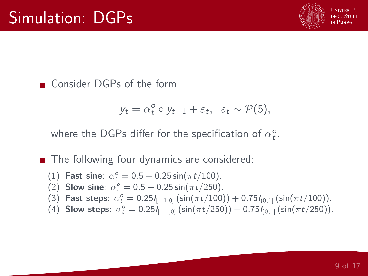

■ Consider DGPs of the form

$$
y_t = \alpha_t^o \circ y_{t-1} + \varepsilon_t, \ \varepsilon_t \sim \mathcal{P}(5),
$$

where the DGPs differ for the specification of  $\alpha^o_t$ .

■ The following four dynamics are considered:

- (1) Fast sine:  $\alpha_t^o = 0.5 + 0.25 \sin(\pi t/100)$ .
- (2) Slow sine:  $\alpha_t^o = 0.5 + 0.25 \sin(\pi t/250)$ .
- (3) Fast steps:  $\alpha_t^o = 0.25I_{[-1,0]}(\sin(\pi t/100)) + 0.75I_{[0,1]}(\sin(\pi t/100)).$
- (4) Slow steps:  $\alpha_t^o = 0.25I_{[-1,0]}(\sin(\pi t/250)) + 0.75I_{(0,1]}(\sin(\pi t/250)).$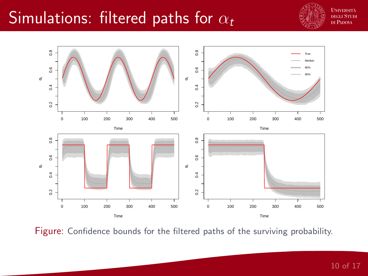### Simulations: filtered paths for  $\alpha_t$



**UNIVERSITÀ** nech Stuni DI PADOVA



Figure: Confidence bounds for the filtered paths of the surviving probability.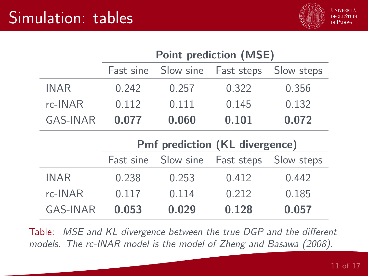

|             | <b>Point prediction (MSE)</b>         |           |            |            |  |  |
|-------------|---------------------------------------|-----------|------------|------------|--|--|
|             | Fast sine                             | Slow sine | Fast steps | Slow steps |  |  |
| <b>INAR</b> | 0.242                                 | 0.257     | 0.322      | 0.356      |  |  |
| $rc$ -INAR  | 0.112                                 | 0.111     | 0.145      | 0.132      |  |  |
| GAS-INAR    | 0.077                                 | 0.060     | 0.101      | 0.072      |  |  |
|             | <b>Pmf prediction (KL divergence)</b> |           |            |            |  |  |
|             |                                       |           |            |            |  |  |
|             | Fast sine                             | Slow sine | Fast steps | Slow steps |  |  |
| <b>INAR</b> | 0.238                                 | 0.253     | 0.412      | 0.442      |  |  |
| rc-INAR     | 0.117                                 | 0.114     | 0.212      | 0.185      |  |  |

Table: MSE and KL divergence between the true DGP and the different models. The rc-INAR model is the model of Zheng and Basawa (2008).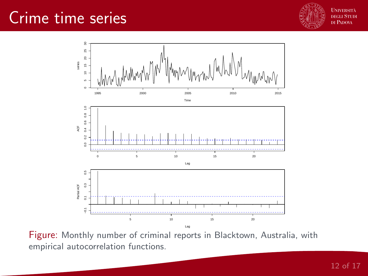#### Crime time series





Figure: Monthly number of criminal reports in Blacktown, Australia, with empirical autocorrelation functions.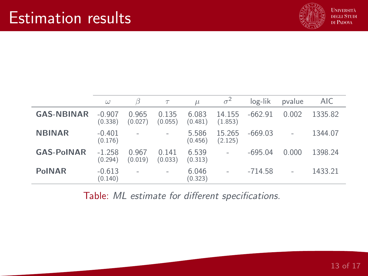

|                   | $\omega$            | B                | $\tau$           | $\mu$            | $\sigma^2$        | log-lik   | pvalue         | AIC     |
|-------------------|---------------------|------------------|------------------|------------------|-------------------|-----------|----------------|---------|
| <b>GAS-NBINAR</b> | $-0.907$<br>(0.338) | 0.965<br>(0.027) | 0.135<br>(0.055) | 6.083<br>(0.481) | 14.155<br>(1.853) | $-662.91$ | 0.002          | 1335.82 |
| <b>NBINAR</b>     | $-0.401$<br>(0.176) |                  | $\overline{a}$   | 5.586<br>(0.456) | 15.265<br>(2.125) | $-669.03$ |                | 1344.07 |
| <b>GAS-PoINAR</b> | $-1.258$<br>(0.294) | 0.967<br>(0.019) | 0.141<br>(0.033) | 6.539<br>(0.313) | $\overline{a}$    | $-695.04$ | 0.000          | 1398.24 |
| <b>PoINAR</b>     | $-0.613$<br>(0.140) |                  | $\overline{a}$   | 6.046<br>(0.323) |                   | $-714.58$ | $\overline{a}$ | 1433.21 |

Table: ML estimate for different specifications.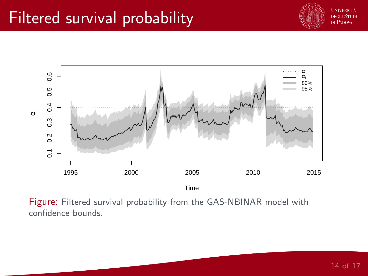# Filtered survival probability





Figure: Filtered survival probability from the GAS-NBINAR model with confidence bounds.

14 of 17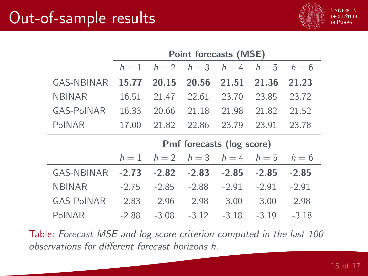# Out-of-sample results



|                   | Point forecasts (MSE)     |         |         |         |         |         |
|-------------------|---------------------------|---------|---------|---------|---------|---------|
|                   | $h=1$                     | $h = 2$ | $h=3$   | $h=4$   | $h=5$   | $h=6$   |
| <b>GAS-NBINAR</b> | 15.77                     | 20.15   | 20.56   | 21.51   | 21.36   | 21.23   |
| <b>NBINAR</b>     | 16.51                     | 21.47   | 22.61   | 23.70   | 23.85   | 23.72   |
| <b>GAS-PoINAR</b> | 16.33                     | 20.66   | 21.18   | 21.98   | 21.82   | 21.52   |
| PoINAR            | 17.00                     | 21.82   | 22.86   | 23.79   | 23.91   | 23.78   |
|                   | Pmf forecasts (log score) |         |         |         |         |         |
|                   |                           |         |         |         |         |         |
|                   | $h=1$                     | $h=2$   | $h=3$   | $h=4$   | $h=5$   | $h=6$   |
| <b>GAS-NBINAR</b> | $-2.73$                   | $-2.82$ | $-2.83$ | $-2.85$ | $-2.85$ | $-2.85$ |
| <b>NBINAR</b>     | $-2.75$                   | $-2.85$ | $-2.88$ | $-2.91$ | $-2.91$ | $-2.91$ |
| <b>GAS-PoINAR</b> | $-2.83$                   | $-2.96$ | $-2.98$ | $-3.00$ | $-3.00$ | $-2.98$ |

Table: Forecast MSE and log score criterion computed in the last 100 observations for different forecast horizons h.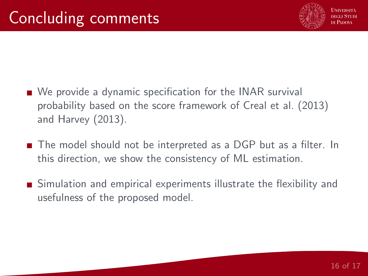

- We provide a dynamic specification for the INAR survival probability based on the score framework of Creal et al. (2013) and Harvey (2013).
- The model should not be interpreted as a DGP but as a filter. In this direction, we show the consistency of ML estimation.
- Simulation and empirical experiments illustrate the flexibility and usefulness of the proposed model.